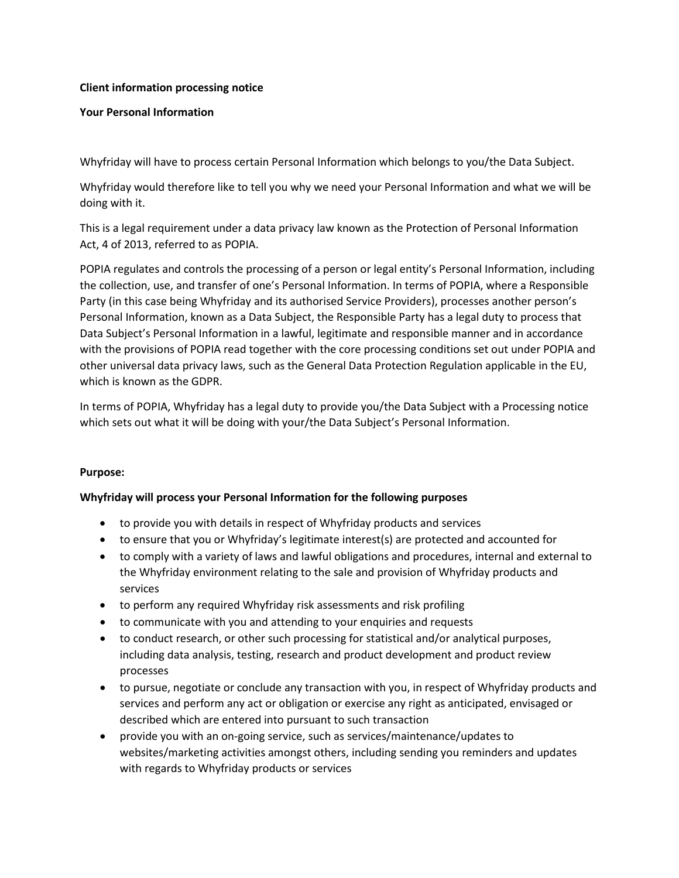### **Client information processing notice**

### **Your Personal Information**

Whyfriday will have to process certain Personal Information which belongs to you/the Data Subject.

Whyfriday would therefore like to tell you why we need your Personal Information and what we will be doing with it.

This is a legal requirement under a data privacy law known as the Protection of Personal Information Act, 4 of 2013, referred to as POPIA.

POPIA regulates and controls the processing of a person or legal entity's Personal Information, including the collection, use, and transfer of one's Personal Information. In terms of POPIA, where a Responsible Party (in this case being Whyfriday and its authorised Service Providers), processes another person's Personal Information, known as a Data Subject, the Responsible Party has a legal duty to process that Data Subject's Personal Information in a lawful, legitimate and responsible manner and in accordance with the provisions of POPIA read together with the core processing conditions set out under POPIA and other universal data privacy laws, such as the General Data Protection Regulation applicable in the EU, which is known as the GDPR.

In terms of POPIA, Whyfriday has a legal duty to provide you/the Data Subject with a Processing notice which sets out what it will be doing with your/the Data Subject's Personal Information.

### **Purpose:**

### **Whyfriday will process your Personal Information for the following purposes**

- to provide you with details in respect of Whyfriday products and services
- to ensure that you or Whyfriday's legitimate interest(s) are protected and accounted for
- to comply with a variety of laws and lawful obligations and procedures, internal and external to the Whyfriday environment relating to the sale and provision of Whyfriday products and services
- to perform any required Whyfriday risk assessments and risk profiling
- to communicate with you and attending to your enquiries and requests
- to conduct research, or other such processing for statistical and/or analytical purposes, including data analysis, testing, research and product development and product review processes
- to pursue, negotiate or conclude any transaction with you, in respect of Whyfriday products and services and perform any act or obligation or exercise any right as anticipated, envisaged or described which are entered into pursuant to such transaction
- provide you with an on-going service, such as services/maintenance/updates to websites/marketing activities amongst others, including sending you reminders and updates with regards to Whyfriday products or services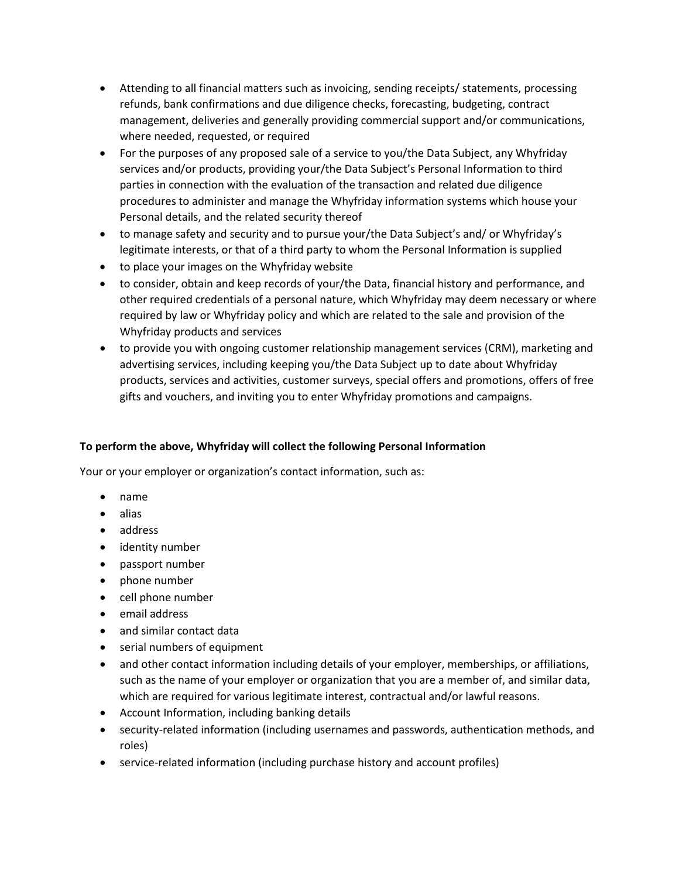- Attending to all financial matters such as invoicing, sending receipts/ statements, processing refunds, bank confirmations and due diligence checks, forecasting, budgeting, contract management, deliveries and generally providing commercial support and/or communications, where needed, requested, or required
- For the purposes of any proposed sale of a service to you/the Data Subject, any Whyfriday services and/or products, providing your/the Data Subject's Personal Information to third parties in connection with the evaluation of the transaction and related due diligence procedures to administer and manage the Whyfriday information systems which house your Personal details, and the related security thereof
- to manage safety and security and to pursue your/the Data Subject's and/ or Whyfriday's legitimate interests, or that of a third party to whom the Personal Information is supplied
- to place your images on the Whyfriday website
- to consider, obtain and keep records of your/the Data, financial history and performance, and other required credentials of a personal nature, which Whyfriday may deem necessary or where required by law or Whyfriday policy and which are related to the sale and provision of the Whyfriday products and services
- to provide you with ongoing customer relationship management services (CRM), marketing and advertising services, including keeping you/the Data Subject up to date about Whyfriday products, services and activities, customer surveys, special offers and promotions, offers of free gifts and vouchers, and inviting you to enter Whyfriday promotions and campaigns.

# **To perform the above, Whyfriday will collect the following Personal Information**

Your or your employer or organization's contact information, such as:

- name
- alias
- address
- identity number
- passport number
- phone number
- cell phone number
- email address
- and similar contact data
- serial numbers of equipment
- and other contact information including details of your employer, memberships, or affiliations, such as the name of your employer or organization that you are a member of, and similar data, which are required for various legitimate interest, contractual and/or lawful reasons.
- Account Information, including banking details
- security-related information (including usernames and passwords, authentication methods, and roles)
- service-related information (including purchase history and account profiles)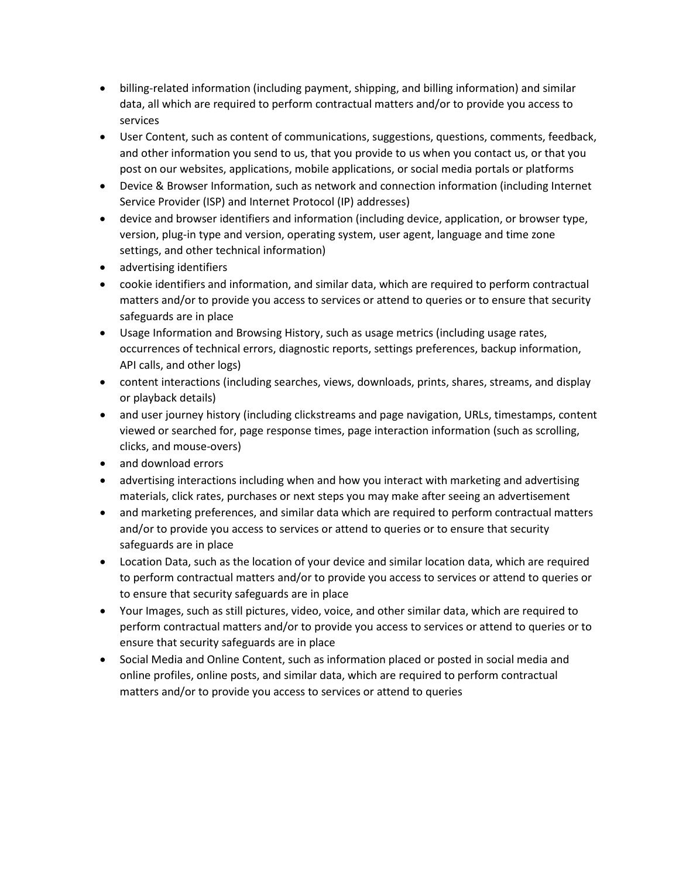- billing-related information (including payment, shipping, and billing information) and similar data, all which are required to perform contractual matters and/or to provide you access to services
- User Content, such as content of communications, suggestions, questions, comments, feedback, and other information you send to us, that you provide to us when you contact us, or that you post on our websites, applications, mobile applications, or social media portals or platforms
- Device & Browser Information, such as network and connection information (including Internet Service Provider (ISP) and Internet Protocol (IP) addresses)
- device and browser identifiers and information (including device, application, or browser type, version, plug-in type and version, operating system, user agent, language and time zone settings, and other technical information)
- advertising identifiers
- cookie identifiers and information, and similar data, which are required to perform contractual matters and/or to provide you access to services or attend to queries or to ensure that security safeguards are in place
- Usage Information and Browsing History, such as usage metrics (including usage rates, occurrences of technical errors, diagnostic reports, settings preferences, backup information, API calls, and other logs)
- content interactions (including searches, views, downloads, prints, shares, streams, and display or playback details)
- and user journey history (including clickstreams and page navigation, URLs, timestamps, content viewed or searched for, page response times, page interaction information (such as scrolling, clicks, and mouse-overs)
- and download errors
- advertising interactions including when and how you interact with marketing and advertising materials, click rates, purchases or next steps you may make after seeing an advertisement
- and marketing preferences, and similar data which are required to perform contractual matters and/or to provide you access to services or attend to queries or to ensure that security safeguards are in place
- Location Data, such as the location of your device and similar location data, which are required to perform contractual matters and/or to provide you access to services or attend to queries or to ensure that security safeguards are in place
- Your Images, such as still pictures, video, voice, and other similar data, which are required to perform contractual matters and/or to provide you access to services or attend to queries or to ensure that security safeguards are in place
- Social Media and Online Content, such as information placed or posted in social media and online profiles, online posts, and similar data, which are required to perform contractual matters and/or to provide you access to services or attend to queries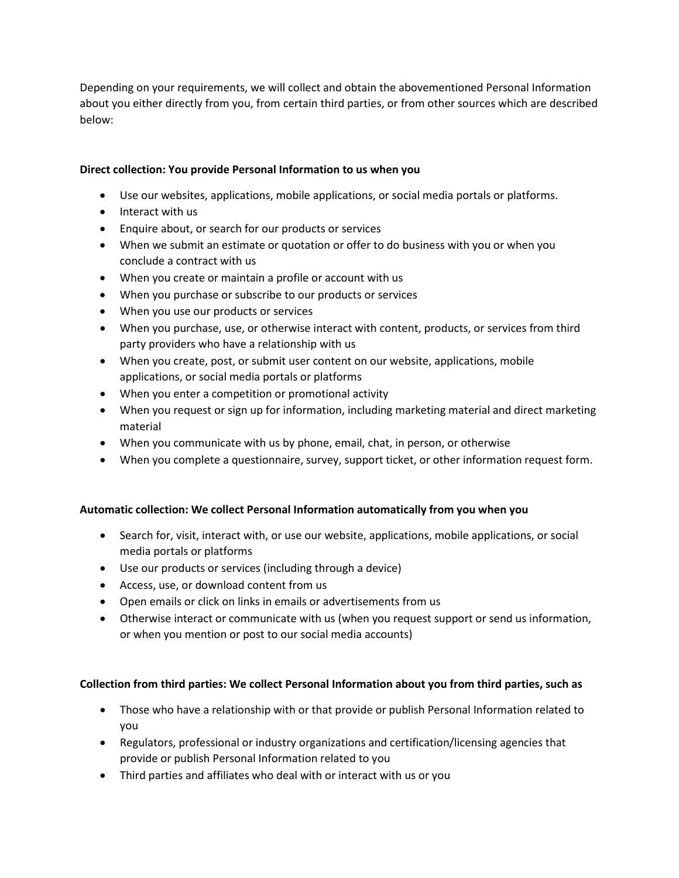Depending on your requirements, we will collect and obtain the abovementioned Personal Information about you either directly from you, from certain third parties, or from other sources which are described below:

# **Direct collection: You provide Personal Information to us when you**

- Use our websites, applications, mobile applications, or social media portals or platforms.
- Interact with us
- Enquire about, or search for our products or services
- When we submit an estimate or quotation or offer to do business with you or when you conclude a contract with us
- When you create or maintain a profile or account with us
- When you purchase or subscribe to our products or services
- When you use our products or services
- When you purchase, use, or otherwise interact with content, products, or services from third party providers who have a relationship with us
- When you create, post, or submit user content on our website, applications, mobile applications, or social media portals or platforms
- When you enter a competition or promotional activity
- When you request or sign up for information, including marketing material and direct marketing material
- When you communicate with us by phone, email, chat, in person, or otherwise
- When you complete a questionnaire, survey, support ticket, or other information request form.

### **Automatic collection: We collect Personal Information automatically from you when you**

- Search for, visit, interact with, or use our website, applications, mobile applications, or social media portals or platforms
- Use our products or services (including through a device)
- Access, use, or download content from us
- Open emails or click on links in emails or advertisements from us
- Otherwise interact or communicate with us (when you request support or send us information, or when you mention or post to our social media accounts)

### **Collection from third parties: We collect Personal Information about you from third parties, such as**

- Those who have a relationship with or that provide or publish Personal Information related to you
- Regulators, professional or industry organizations and certification/licensing agencies that provide or publish Personal Information related to you
- Third parties and affiliates who deal with or interact with us or you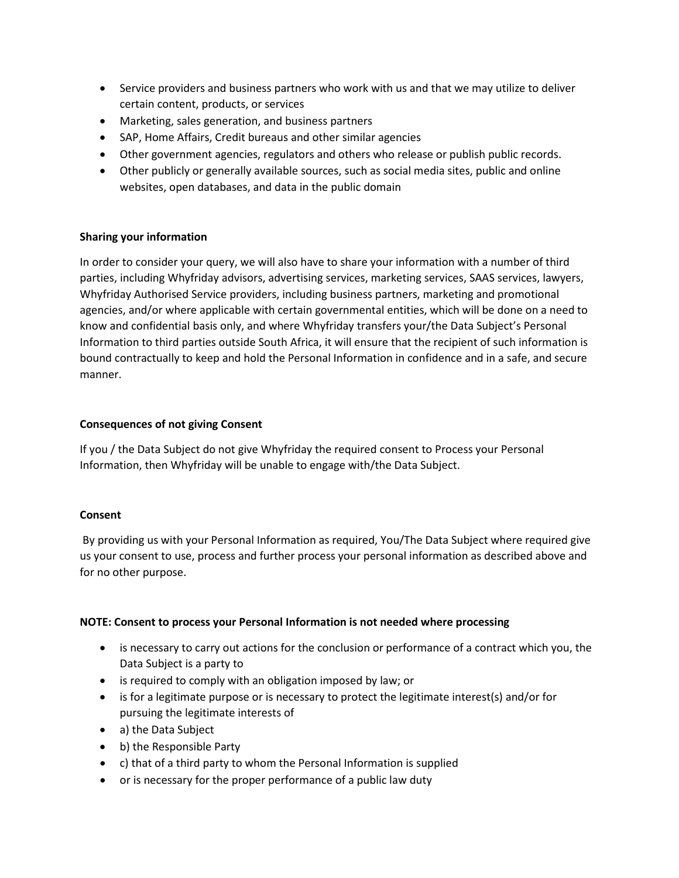- Service providers and business partners who work with us and that we may utilize to deliver certain content, products, or services
- Marketing, sales generation, and business partners
- SAP, Home Affairs, Credit bureaus and other similar agencies
- Other government agencies, regulators and others who release or publish public records.
- Other publicly or generally available sources, such as social media sites, public and online websites, open databases, and data in the public domain

# **Sharing your information**

In order to consider your query, we will also have to share your information with a number of third parties, including Whyfriday advisors, advertising services, marketing services, SAAS services, lawyers, Whyfriday Authorised Service providers, including business partners, marketing and promotional agencies, and/or where applicable with certain governmental entities, which will be done on a need to know and confidential basis only, and where Whyfriday transfers your/the Data Subject's Personal Information to third parties outside South Africa, it will ensure that the recipient of such information is bound contractually to keep and hold the Personal Information in confidence and in a safe, and secure manner.

# **Consequences of not giving Consent**

If you / the Data Subject do not give Whyfriday the required consent to Process your Personal Information, then Whyfriday will be unable to engage with/the Data Subject.

### **Consent**

By providing us with your Personal Information as required, You/The Data Subject where required give us your consent to use, process and further process your personal information as described above and for no other purpose.

### **NOTE: Consent to process your Personal Information is not needed where processing**

- is necessary to carry out actions for the conclusion or performance of a contract which you, the Data Subject is a party to
- is required to comply with an obligation imposed by law; or
- is for a legitimate purpose or is necessary to protect the legitimate interest(s) and/or for pursuing the legitimate interests of
- a) the Data Subject
- b) the Responsible Party
- c) that of a third party to whom the Personal Information is supplied
- or is necessary for the proper performance of a public law duty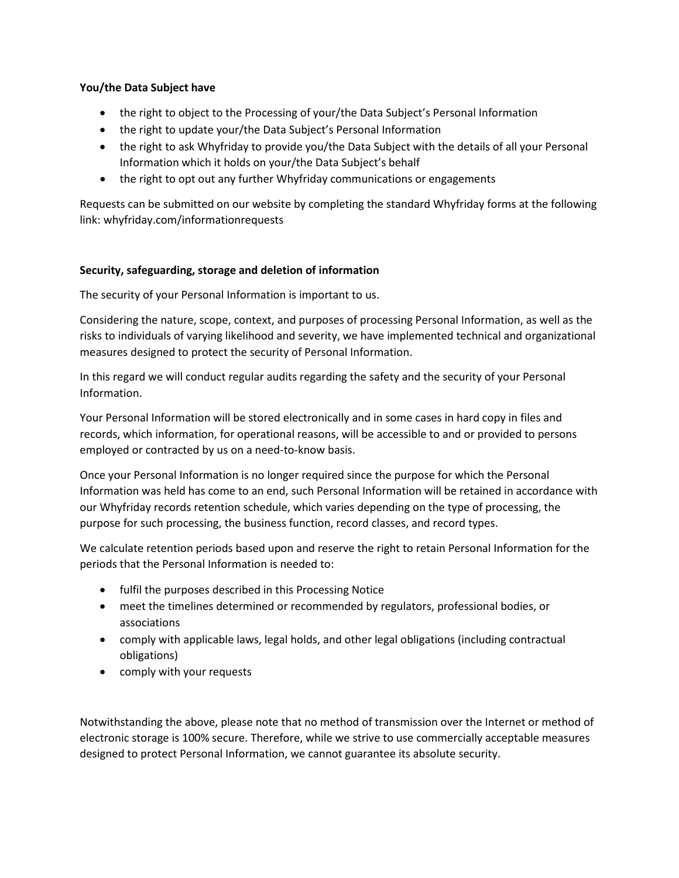### **You/the Data Subject have**

- the right to object to the Processing of your/the Data Subject's Personal Information
- the right to update your/the Data Subject's Personal Information
- the right to ask Whyfriday to provide you/the Data Subject with the details of all your Personal Information which it holds on your/the Data Subject's behalf
- the right to opt out any further Whyfriday communications or engagements

Requests can be submitted on our website by completing the standard Whyfriday forms at the following link: whyfriday.com/informationrequests

# **Security, safeguarding, storage and deletion of information**

The security of your Personal Information is important to us.

Considering the nature, scope, context, and purposes of processing Personal Information, as well as the risks to individuals of varying likelihood and severity, we have implemented technical and organizational measures designed to protect the security of Personal Information.

In this regard we will conduct regular audits regarding the safety and the security of your Personal Information.

Your Personal Information will be stored electronically and in some cases in hard copy in files and records, which information, for operational reasons, will be accessible to and or provided to persons employed or contracted by us on a need-to-know basis.

Once your Personal Information is no longer required since the purpose for which the Personal Information was held has come to an end, such Personal Information will be retained in accordance with our Whyfriday records retention schedule, which varies depending on the type of processing, the purpose for such processing, the business function, record classes, and record types.

We calculate retention periods based upon and reserve the right to retain Personal Information for the periods that the Personal Information is needed to:

- fulfil the purposes described in this Processing Notice
- meet the timelines determined or recommended by regulators, professional bodies, or associations
- comply with applicable laws, legal holds, and other legal obligations (including contractual obligations)
- comply with your requests

Notwithstanding the above, please note that no method of transmission over the Internet or method of electronic storage is 100% secure. Therefore, while we strive to use commercially acceptable measures designed to protect Personal Information, we cannot guarantee its absolute security.